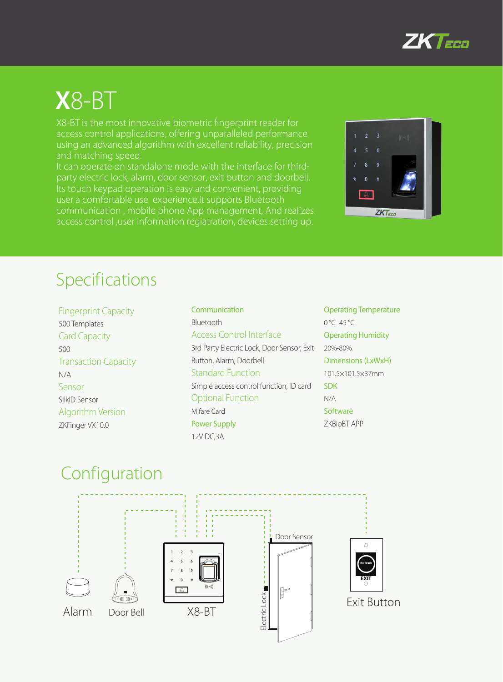

# **X**8-BT

X8-BT is the most innovative biometric fingerprint reader for access control applications, offering unparalleled performance using an advanced algorithm with excellent reliability, precision and matching speed.

It can operate on standalone mode with the interface for thirdparty electric lock, alarm, door sensor, exit button and doorbell. Its touch keypad operation is easy and convenient, providing user a comfortable use experience.It supports Bluetooth communication , mobile phone App management, And realizes access control ,user information regiatration, devices setting up.



### Specifications

Fingerprint Capacity 500 Templates Card Capacity 500 Transaction Capacity N/A Sensor SilkID Sensor Algorithm Version ZKFinger VX10.0

Communication Bluetooth Access Control Interface 3rd Party Electric Lock, Door Sensor, Exit Button, Alarm, Doorbell Standard Function Simple access control function, ID card Optional Function Mifare Card Power Supply 12V DC,3A

Operating Temperature 0 °C- 45 °C Operating Humidity 20%-80% Dimensions (LxWxH) 101.5×101.5×37mm SDK N/A **Software** ZKBioBT APP

#### Configuration